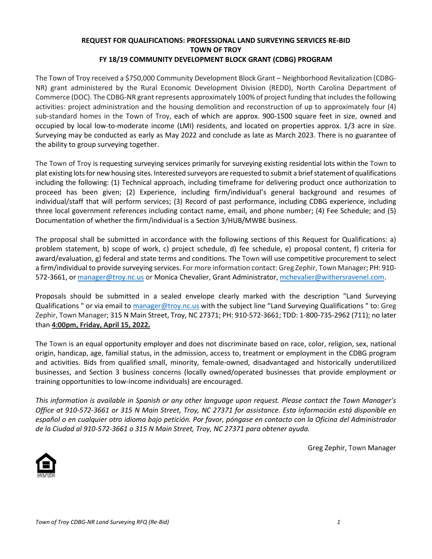#### **REQUEST FOR QUALIFICATIONS: PROFESSIONAL LAND SURVEYING SERVICES RE-BID TOWN OF TROY FY 18/19 COMMUNITY DEVELOPMENT BLOCK GRANT (CDBG) PROGRAM**

The Town of Troy received a \$750,000 Community Development Block Grant – Neighborhood Revitalization (CDBG-NR) grant administered by the Rural Economic Development Division (REDD), North Carolina Department of Commerce (DOC). The CDBG-NR grant represents approximately 100% of project funding that includes the following activities: project administration and the housing demolition and reconstruction of up to approximately four (4) sub-standard homes in the Town of Troy, each of which are approx. 900-1500 square feet in size, owned and occupied by local low-to-moderate income (LMI) residents, and located on properties approx. 1/3 acre in size. Surveying may be conducted as early as May 2022 and conclude as late as March 2023. There is no guarantee of the ability to group surveying together.

The Town of Troy is requesting surveying services primarily for surveying existing residential lots within the Town to plat existing lots for new housing sites. Interested surveyors are requested to submit a brief statement of qualifications including the following: (1) Technical approach, including timeframe for delivering product once authorization to proceed has been given; (2) Experience, including firm/individual's general background and resumes of individual/staff that will perform services; (3) Record of past performance, including CDBG experience, including three local government references including contact name, email, and phone number; (4) Fee Schedule; and (5) Documentation of whether the firm/individual is a Section 3/HUB/MWBE business.

The proposal shall be submitted in accordance with the following sections of this Request for Qualifications: a) problem statement, b) scope of work, c) project schedule, d) fee schedule, e) proposal content, f) criteria for award/evaluation, g) federal and state terms and conditions. The Town will use competitive procurement to select a firm/individual to provide surveying services. For more information contact: Greg Zephir, Town Manager; PH: 910- 572-3661, or [manager@troy.nc.us](mailto:manager@troy.nc.us) or Monica Chevalier, Grant Administrator, [mchevalier@withersravenel.com.](mailto:mchevalier@withersravenel.com)

Proposals should be submitted in a sealed envelope clearly marked with the description "Land Surveying Qualifications " or via email to [manager@troy.nc.us](mailto:manager@troy.nc.us) with the subject line "Land Surveying Qualifications " to: Greg Zephir, Town Manager; 315 N Main Street, Troy, NC 27371; PH: 910-572-3661; TDD: 1-800-735-2962 (711); no later than **4:00pm, Friday, April 15, 2022.**

The Town is an equal opportunity employer and does not discriminate based on race, color, religion, sex, national origin, handicap, age, familial status, in the admission, access to, treatment or employment in the CDBG program and activities. Bids from qualified small, minority, female-owned, disadvantaged and historically underutilized businesses, and Section 3 business concerns (locally owned/operated businesses that provide employment or training opportunities to low-income individuals) are encouraged.

*This information is available in Spanish or any other language upon request. Please contact the Town Manager's Office at 910-572-3661 or 315 N Main Street, Troy, NC 27371 for assistance. Esta información está disponible en español o en cualquier otro idioma bajo petición. Por favor, póngase en contacto con la Oficina del Administrador de la Ciudad al 910-572-3661 o 315 N Main Street, Troy, NC 27371 para obtener ayuda.*

Greg Zephir, Town Manager

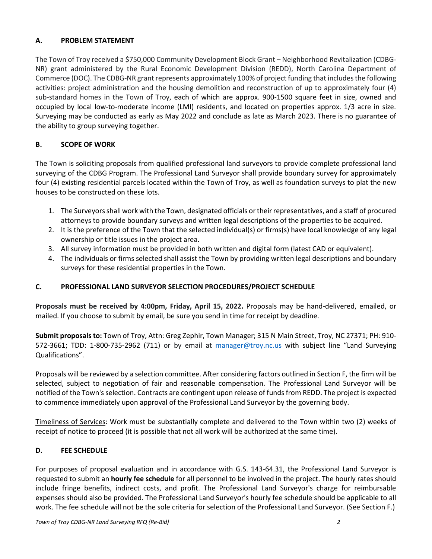# **A. PROBLEM STATEMENT**

The Town of Troy received a \$750,000 Community Development Block Grant – Neighborhood Revitalization (CDBG-NR) grant administered by the Rural Economic Development Division (REDD), North Carolina Department of Commerce (DOC). The CDBG-NR grant represents approximately 100% of project funding that includes the following activities: project administration and the housing demolition and reconstruction of up to approximately four (4) sub-standard homes in the Town of Troy, each of which are approx. 900-1500 square feet in size, owned and occupied by local low-to-moderate income (LMI) residents, and located on properties approx. 1/3 acre in size. Surveying may be conducted as early as May 2022 and conclude as late as March 2023. There is no guarantee of the ability to group surveying together.

# **B. SCOPE OF WORK**

The Town is soliciting proposals from qualified professional land surveyors to provide complete professional land surveying of the CDBG Program. The Professional Land Surveyor shall provide boundary survey for approximately four (4) existing residential parcels located within the Town of Troy, as well as foundation surveys to plat the new houses to be constructed on these lots.

- 1. The Surveyors shall work with the Town, designated officials or their representatives, and a staff of procured attorneys to provide boundary surveys and written legal descriptions of the properties to be acquired.
- 2. It is the preference of the Town that the selected individual(s) or firms(s) have local knowledge of any legal ownership or title issues in the project area.
- 3. All survey information must be provided in both written and digital form (latest CAD or equivalent).
- 4. The individuals or firms selected shall assist the Town by providing written legal descriptions and boundary surveys for these residential properties in the Town.

# **C. PROFESSIONAL LAND SURVEYOR SELECTION PROCEDURES/PROJECT SCHEDULE**

**Proposals must be received by 4:00pm, Friday, April 15, 2022.** Proposals may be hand-delivered, emailed, or mailed. If you choose to submit by email, be sure you send in time for receipt by deadline.

**Submit proposalsto:** Town of Troy, Attn: Greg Zephir, Town Manager; 315 N Main Street, Troy, NC 27371; PH: 910 572-3661; TDD: 1-800-735-2962 (711) or by email at [manager@troy.nc.us](mailto:manager@troy.nc.us) with subject line "Land Surveying Qualifications".

Proposals will be reviewed by a selection committee. After considering factors outlined in Section F, the firm will be selected, subject to negotiation of fair and reasonable compensation. The Professional Land Surveyor will be notified of the Town's selection. Contracts are contingent upon release of funds from REDD. The project is expected to commence immediately upon approval of the Professional Land Surveyor by the governing body.

Timeliness of Services: Work must be substantially complete and delivered to the Town within two (2) weeks of receipt of notice to proceed (it is possible that not all work will be authorized at the same time).

# **D. FEE SCHEDULE**

For purposes of proposal evaluation and in accordance with G.S. 143-64.31, the Professional Land Surveyor is requested to submit an **hourly fee schedule** for all personnel to be involved in the project. The hourly rates should include fringe benefits, indirect costs, and profit. The Professional Land Surveyor's charge for reimbursable expenses should also be provided. The Professional Land Surveyor's hourly fee schedule should be applicable to all work. The fee schedule will not be the sole criteria for selection of the Professional Land Surveyor. (See Section F.)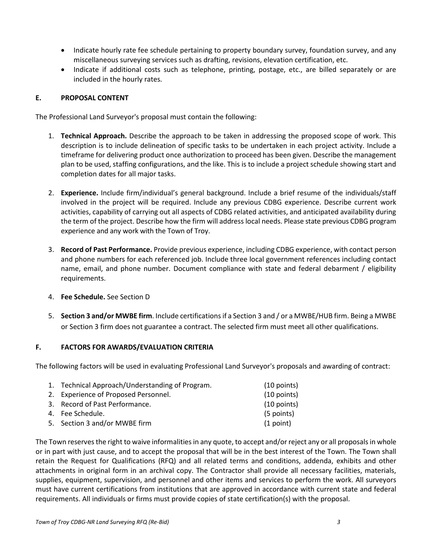- Indicate hourly rate fee schedule pertaining to property boundary survey, foundation survey, and any miscellaneous surveying services such as drafting, revisions, elevation certification, etc.
- Indicate if additional costs such as telephone, printing, postage, etc., are billed separately or are included in the hourly rates.

#### **E. PROPOSAL CONTENT**

The Professional Land Surveyor's proposal must contain the following:

- 1. **Technical Approach.** Describe the approach to be taken in addressing the proposed scope of work. This description is to include delineation of specific tasks to be undertaken in each project activity. Include a timeframe for delivering product once authorization to proceed has been given. Describe the management plan to be used, staffing configurations, and the like. This is to include a project schedule showing start and completion dates for all major tasks.
- 2. **Experience.** Include firm/individual's general background. Include a brief resume of the individuals/staff involved in the project will be required. Include any previous CDBG experience. Describe current work activities, capability of carrying out all aspects of CDBG related activities, and anticipated availability during the term of the project. Describe how the firm will address local needs. Please state previous CDBG program experience and any work with the Town of Troy.
- 3. **Record of Past Performance.** Provide previous experience, including CDBG experience, with contact person and phone numbers for each referenced job. Include three local government references including contact name, email, and phone number. Document compliance with state and federal debarment / eligibility requirements.
- 4. **Fee Schedule.** See Section D
- 5. **Section 3 and/or MWBE firm**. Include certifications if a Section 3 and / or a MWBE/HUB firm. Being a MWBE or Section 3 firm does not guarantee a contract. The selected firm must meet all other qualifications.

# **F. FACTORS FOR AWARDS/EVALUATION CRITERIA**

The following factors will be used in evaluating Professional Land Surveyor's proposals and awarding of contract:

| $(10$ points)                                                                                                                                                                  |
|--------------------------------------------------------------------------------------------------------------------------------------------------------------------------------|
| $(10$ points)                                                                                                                                                                  |
| $(10$ points)                                                                                                                                                                  |
| (5 points)                                                                                                                                                                     |
| (1 point)                                                                                                                                                                      |
| 1. Technical Approach/Understanding of Program.<br>2. Experience of Proposed Personnel.<br>3. Record of Past Performance.<br>4. Fee Schedule.<br>5. Section 3 and/or MWBE firm |

The Town reserves the right to waive informalities in any quote, to accept and/or reject any or all proposals in whole or in part with just cause, and to accept the proposal that will be in the best interest of the Town. The Town shall retain the Request for Qualifications (RFQ) and all related terms and conditions, addenda, exhibits and other attachments in original form in an archival copy. The Contractor shall provide all necessary facilities, materials, supplies, equipment, supervision, and personnel and other items and services to perform the work. All surveyors must have current certifications from institutions that are approved in accordance with current state and federal requirements. All individuals or firms must provide copies of state certification(s) with the proposal.